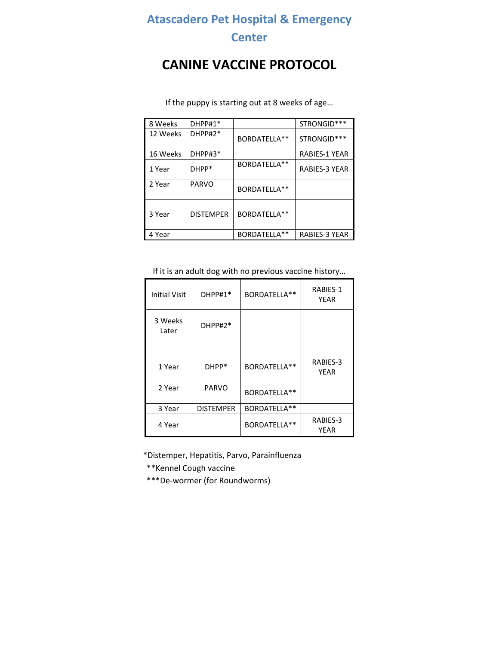## **Atascadero Pet Hospital & Emergency**

### **Center**

# **CANINE VACCINE PROTOCOL**

| 8 Weeks  | DHPP#1*          |              | STRONGID***          |
|----------|------------------|--------------|----------------------|
| 12 Weeks | DHPP#2*          | BORDATELLA** | STRONGID***          |
| 16 Weeks | DHPP#3*          |              | <b>RABIES-1 YEAR</b> |
| 1 Year   | DHPP*            | BORDATELLA** | <b>RABIES-3 YEAR</b> |
| 2 Year   | <b>PARVO</b>     | BORDATELLA** |                      |
| 3 Year   | <b>DISTEMPER</b> | BORDATELLA** |                      |
| 4 Year   |                  | BORDATELLA** | <b>RABIES-3 YEAR</b> |

If the puppy is starting out at 8 weeks of age…

If it is an adult dog with no previous vaccine history…

| <b>Initial Visit</b> | $DHPP#1*$        | BORDATELLA** | RABIES-1<br>YEAR |
|----------------------|------------------|--------------|------------------|
| 3 Weeks<br>Later     | $DHPP#2*$        |              |                  |
| 1 Year               | DHPP*            | BORDATELLA** | RABIES-3<br>YEAR |
| 2 Year               | <b>PARVO</b>     | BORDATELLA** |                  |
| 3 Year               | <b>DISTEMPER</b> | BORDATELLA** |                  |
| 4 Year               |                  | BORDATELLA** | RABIES-3<br>YEAR |

\*Distemper, Hepatitis, Parvo, Parainfluenza

\*\*Kennel Cough vaccine

\*\*\*De‐wormer (for Roundworms)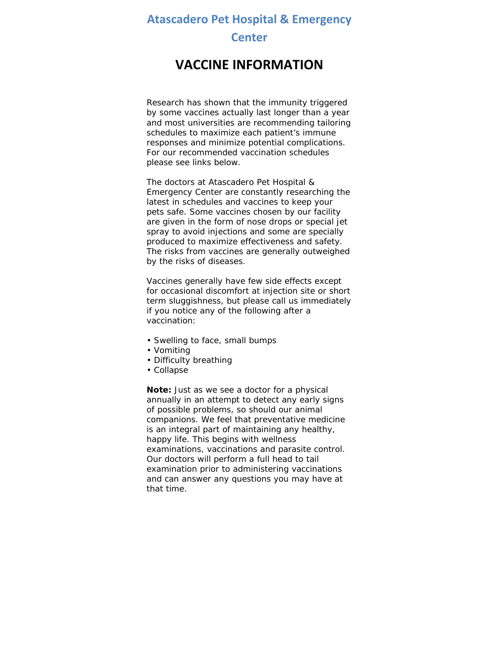### **Atascadero Pet Hospital & Emergency**

#### **Center**

## **VACCINE INFORMATION**

Research has shown that the immunity triggered by some vaccines actually last longer than a year and most universities are recommending tailoring schedules to maximize each patient's immune responses and minimize potential complications. For our recommended vaccination schedules please see links below.

The doctors at Atascadero Pet Hospital & Emergency Center are constantly researching the latest in schedules and vaccines to keep your pets safe. Some vaccines chosen by our facility are given in the form of nose drops or special jet spray to avoid injections and some are specially produced to maximize effectiveness and safety. The risks from vaccines are generally outweighed by the risks of diseases.

Vaccines generally have few side effects except for occasional discomfort at injection site or short term sluggishness, but please call us immediately if you notice any of the following after a vaccination:

- Swelling to face, small bumps
- Vomiting
- Difficulty breathing
- Collapse

**Note:** Just as we see a doctor for a physical annually in an attempt to detect any early signs of possible problems, so should our animal companions. We feel that preventative medicine is an integral part of maintaining any healthy, happy life. This begins with wellness examinations, vaccinations and parasite control. Our doctors will perform a full head to tail examination prior to administering vaccinations and can answer any questions you may have at that time.